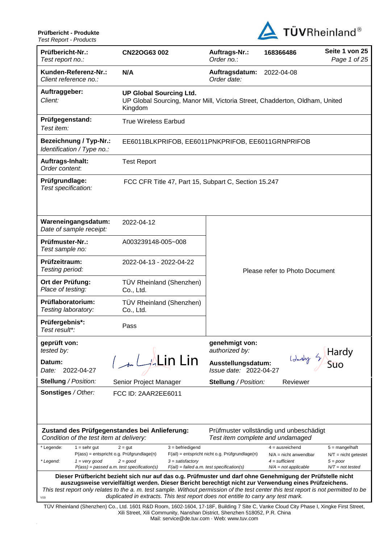

| , correport roughle                                                                                                                                                                                                                                                                                                                                                                                                                                       |                                                                                                                          |                                                 |                                                                  |                                                                                |  |  |
|-----------------------------------------------------------------------------------------------------------------------------------------------------------------------------------------------------------------------------------------------------------------------------------------------------------------------------------------------------------------------------------------------------------------------------------------------------------|--------------------------------------------------------------------------------------------------------------------------|-------------------------------------------------|------------------------------------------------------------------|--------------------------------------------------------------------------------|--|--|
| Prüfbericht-Nr.:<br>Test report no.:                                                                                                                                                                                                                                                                                                                                                                                                                      | CN22OG63 002                                                                                                             | Auftrags-Nr.:<br>Order no.:                     | 168366486                                                        | Seite 1 von 25<br>Page 1 of 25                                                 |  |  |
| Kunden-Referenz-Nr.:<br>Client reference no.:                                                                                                                                                                                                                                                                                                                                                                                                             | N/A                                                                                                                      | Auftragsdatum:<br>Order date:                   | 2022-04-08                                                       |                                                                                |  |  |
| Auftraggeber:<br>Client:                                                                                                                                                                                                                                                                                                                                                                                                                                  | <b>UP Global Sourcing Ltd.</b><br>UP Global Sourcing, Manor Mill, Victoria Street, Chadderton, Oldham, United<br>Kingdom |                                                 |                                                                  |                                                                                |  |  |
| Prüfgegenstand:<br>Test item:                                                                                                                                                                                                                                                                                                                                                                                                                             | <b>True Wireless Earbud</b>                                                                                              |                                                 |                                                                  |                                                                                |  |  |
| <b>Bezeichnung / Typ-Nr.:</b><br>Identification / Type no.:                                                                                                                                                                                                                                                                                                                                                                                               | EE6011BLKPRIFOB, EE6011PNKPRIFOB, EE6011GRNPRIFOB                                                                        |                                                 |                                                                  |                                                                                |  |  |
| Auftrags-Inhalt:<br>Order content.                                                                                                                                                                                                                                                                                                                                                                                                                        | <b>Test Report</b>                                                                                                       |                                                 |                                                                  |                                                                                |  |  |
| Prüfgrundlage:<br>Test specification:                                                                                                                                                                                                                                                                                                                                                                                                                     | FCC CFR Title 47, Part 15, Subpart C, Section 15.247                                                                     |                                                 |                                                                  |                                                                                |  |  |
| Wareneingangsdatum:<br>Date of sample receipt:                                                                                                                                                                                                                                                                                                                                                                                                            | 2022-04-12                                                                                                               |                                                 |                                                                  |                                                                                |  |  |
| Prüfmuster-Nr.:<br>Test sample no:                                                                                                                                                                                                                                                                                                                                                                                                                        | A003239148-005~008                                                                                                       | Please refer to Photo Document                  |                                                                  |                                                                                |  |  |
| Prüfzeitraum:<br>Testing period:                                                                                                                                                                                                                                                                                                                                                                                                                          | 2022-04-13 - 2022-04-22                                                                                                  |                                                 |                                                                  |                                                                                |  |  |
| Ort der Prüfung:<br>Place of testing:                                                                                                                                                                                                                                                                                                                                                                                                                     | TÜV Rheinland (Shenzhen)<br>Co., Ltd.                                                                                    |                                                 |                                                                  |                                                                                |  |  |
| Prüflaboratorium:<br>Testing laboratory:                                                                                                                                                                                                                                                                                                                                                                                                                  | TÜV Rheinland (Shenzhen)<br>Co., Ltd.                                                                                    |                                                 |                                                                  |                                                                                |  |  |
| Prüfergebnis*:<br>Test result*:                                                                                                                                                                                                                                                                                                                                                                                                                           | Pass                                                                                                                     |                                                 |                                                                  |                                                                                |  |  |
| geprüft von:<br>tested by:                                                                                                                                                                                                                                                                                                                                                                                                                                |                                                                                                                          | genehmigt von:<br>authorized by:                |                                                                  |                                                                                |  |  |
| Datum:<br>2022-04-27<br>Date:                                                                                                                                                                                                                                                                                                                                                                                                                             | 1 LALin Lin                                                                                                              | Ausstellungsdatum:<br>Issue date: 2022-04-27    |                                                                  | Identy by Hardy                                                                |  |  |
| <b>Stellung / Position:</b>                                                                                                                                                                                                                                                                                                                                                                                                                               | Senior Project Manager                                                                                                   | <b>Stellung / Position:</b>                     | Reviewer                                                         |                                                                                |  |  |
| Sonstiges / Other:<br>FCC ID: 2AAR2EE6011                                                                                                                                                                                                                                                                                                                                                                                                                 |                                                                                                                          |                                                 |                                                                  |                                                                                |  |  |
| Zustand des Prüfgegenstandes bei Anlieferung:<br>Prüfmuster vollständig und unbeschädigt<br>Condition of the test item at delivery:<br>Test item complete and undamaged                                                                                                                                                                                                                                                                                   |                                                                                                                          |                                                 |                                                                  |                                                                                |  |  |
| * Legende:<br>$1 =$ sehr gut<br>$P(ass) =$ entspricht o.g. Prüfgrundlage(n)<br>* Legend:<br>$1 = \text{very good}$                                                                                                                                                                                                                                                                                                                                        | $3 = \text{defriedigend}$<br>$2 = gut$<br>$2 = good$<br>$3 =$ satisfactory                                               | F(ail) = entspricht nicht o.g. Prüfgrundlage(n) | $4 =$ ausreichend<br>$N/A$ = nicht anwendbar<br>$4 =$ sufficient | $5 =$ mangelhaft<br>$N/T =$ nicht getestet<br>$5 = poor$<br>$N/T = not tested$ |  |  |
|                                                                                                                                                                                                                                                                                                                                                                                                                                                           | $P(ass) = passed a.m. test specification(s)$                                                                             | $F(ai) = failed a.m. test specification(s)$     | $N/A = not$ applicable                                           |                                                                                |  |  |
| Dieser Prüfbericht bezieht sich nur auf das o.g. Prüfmuster und darf ohne Genehmigung der Prüfstelle nicht<br>auszugsweise vervielfältigt werden. Dieser Bericht berechtigt nicht zur Verwendung eines Prüfzeichens.<br>This test report only relates to the a. m. test sample. Without permission of the test center this test report is not permitted to be<br>duplicated in extracts. This test report does not entitle to carry any test mark.<br>V05 |                                                                                                                          |                                                 |                                                                  |                                                                                |  |  |
| TÜV Rheinland (Shenzhen) Co., Ltd. 1601 R&D Room, 1602-1604, 17-18F, Building 7 Site C, Vanke Cloud City Phase I, Xingke First Street,<br>Xili Street, Xili Community, Nanshan District, Shenzhen 518052, P.R. China<br>Mail: service@de.tuv.com · Web: www.tuv.com                                                                                                                                                                                       |                                                                                                                          |                                                 |                                                                  |                                                                                |  |  |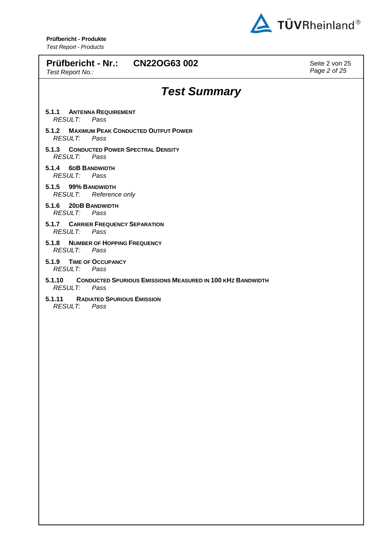

| Prüfbericht - Nr.: CN22OG63 002<br>Test Report No.:                                                   | Seite 2 von 25<br>Page 2 of 25 |
|-------------------------------------------------------------------------------------------------------|--------------------------------|
| <b>Test Summary</b>                                                                                   |                                |
| <b>ANTENNA REQUIREMENT</b><br>5.1.1<br><b>RESULT:</b><br>Pass                                         |                                |
| 5.1.2<br><b>MAXIMUM PEAK CONDUCTED OUTPUT POWER</b><br><b>RESULT:</b><br>Pass                         |                                |
| <b>CONDUCTED POWER SPECTRAL DENSITY</b><br>5.1.3<br><b>RESULT:</b><br>Pass                            |                                |
| 5.1.4<br><b>6DB BANDWIDTH</b><br><b>RESULT:</b><br>Pass                                               |                                |
| 5.1.5 99% BANDWIDTH<br><b>RESULT:</b><br>Reference only                                               |                                |
| 5.1.6<br><b>20DB BANDWIDTH</b><br><b>RESULT:</b><br>Pass                                              |                                |
| 5.1.7 CARRIER FREQUENCY SEPARATION<br><b>RESULT:</b><br>Pass                                          |                                |
| <b>NUMBER OF HOPPING FREQUENCY</b><br>5.1.8<br><b>RESULT:</b><br>Pass                                 |                                |
| <b>TIME OF OCCUPANCY</b><br>5.1.9<br><b>RESULT:</b><br>Pass                                           |                                |
| <b>CONDUCTED SPURIOUS EMISSIONS MEASURED IN 100 KHZ BANDWIDTH</b><br>5.1.10<br><b>RESULT:</b><br>Pass |                                |
| <b>RADIATED SPURIOUS EMISSION</b><br>5.1.11<br><b>RESULT:</b><br>Pass                                 |                                |
|                                                                                                       |                                |
|                                                                                                       |                                |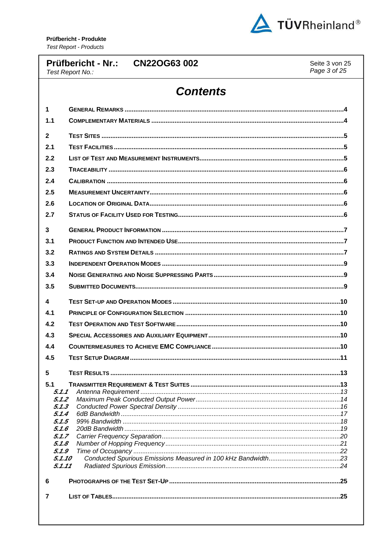

|                | <b>Prüfbericht - Nr.:</b><br><b>CN22OG63 002</b><br>Seite 3 von 25<br>Page 3 of 25<br>Test Report No.: |  |  |  |  |  |  |
|----------------|--------------------------------------------------------------------------------------------------------|--|--|--|--|--|--|
|                | <b>Contents</b>                                                                                        |  |  |  |  |  |  |
| 1              |                                                                                                        |  |  |  |  |  |  |
| 1.1            |                                                                                                        |  |  |  |  |  |  |
| 2              |                                                                                                        |  |  |  |  |  |  |
| 2.1            |                                                                                                        |  |  |  |  |  |  |
| 2.2            |                                                                                                        |  |  |  |  |  |  |
| 2.3            |                                                                                                        |  |  |  |  |  |  |
| 2.4            |                                                                                                        |  |  |  |  |  |  |
| 2.5            |                                                                                                        |  |  |  |  |  |  |
| 2.6            |                                                                                                        |  |  |  |  |  |  |
| 2.7            |                                                                                                        |  |  |  |  |  |  |
| 3              |                                                                                                        |  |  |  |  |  |  |
| 3.1            |                                                                                                        |  |  |  |  |  |  |
|                |                                                                                                        |  |  |  |  |  |  |
| 3.2<br>3.3     |                                                                                                        |  |  |  |  |  |  |
| 3.4            |                                                                                                        |  |  |  |  |  |  |
| 3.5            |                                                                                                        |  |  |  |  |  |  |
|                |                                                                                                        |  |  |  |  |  |  |
| 4              |                                                                                                        |  |  |  |  |  |  |
| 4.1            |                                                                                                        |  |  |  |  |  |  |
| 4.2            |                                                                                                        |  |  |  |  |  |  |
| 4.3            |                                                                                                        |  |  |  |  |  |  |
| 4.4            |                                                                                                        |  |  |  |  |  |  |
| 4.5            |                                                                                                        |  |  |  |  |  |  |
| 5              |                                                                                                        |  |  |  |  |  |  |
| 5.1            |                                                                                                        |  |  |  |  |  |  |
| 5.1.1<br>5.1.2 |                                                                                                        |  |  |  |  |  |  |
| 5.1.3          |                                                                                                        |  |  |  |  |  |  |
| 5.1.4          |                                                                                                        |  |  |  |  |  |  |
| 5.1.5<br>5.1.6 |                                                                                                        |  |  |  |  |  |  |
| 5.1.7          |                                                                                                        |  |  |  |  |  |  |
| 5.1.8          |                                                                                                        |  |  |  |  |  |  |
| 5.1.9          | 5.1.10                                                                                                 |  |  |  |  |  |  |
|                | 5.1.11                                                                                                 |  |  |  |  |  |  |
| 6              |                                                                                                        |  |  |  |  |  |  |
|                |                                                                                                        |  |  |  |  |  |  |
| 7              |                                                                                                        |  |  |  |  |  |  |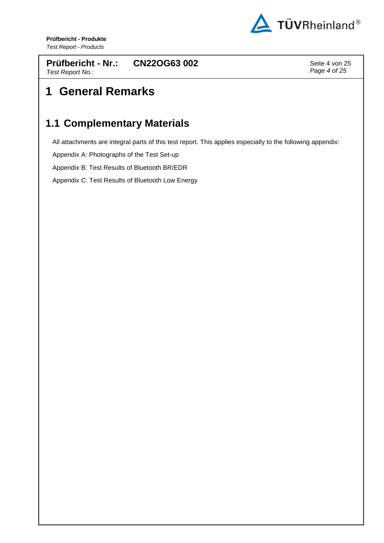

**Prüfbericht - Nr.:** Test Report No.: **CN22OG63 002** Seite 4 von 25

Page 4 of 25

# **1 General Remarks**

## **1.1 Complementary Materials**

All attachments are integral parts of this test report. This applies especially to the following appendix:

Appendix A: Photographs of the Test Set-up

Appendix B: Test Results of Bluetooth BR/EDR

Appendix C: Test Results of Bluetooth Low Energy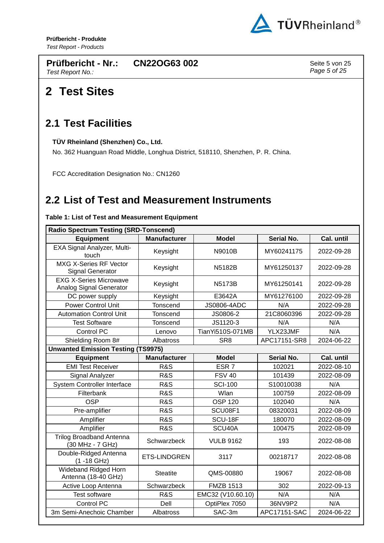

**Prüfbericht - Nr.:** Test Report No.: **CN22OG63 002** Seite 5 von 25

Page 5 of 25

## **2 Test Sites**

#### **2.1 Test Facilities**

**TÜV Rheinland (Shenzhen) Co., Ltd.** 

No. 362 Huanguan Road Middle, Longhua District, 518110, Shenzhen, P. R. China.

FCC Accreditation Designation No.: CN1260

## **2.2 List of Test and Measurement Instruments**

| <b>Radio Spectrum Testing (SRD-Tonscend)</b>             |                     |                   |                   |            |  |  |  |
|----------------------------------------------------------|---------------------|-------------------|-------------------|------------|--|--|--|
| <b>Equipment</b>                                         | <b>Manufacturer</b> | <b>Model</b>      | <b>Serial No.</b> | Cal. until |  |  |  |
| EXA Signal Analyzer, Multi-<br>touch                     | Keysight            | N9010B            | MY60241175        | 2022-09-28 |  |  |  |
| <b>MXG X-Series RF Vector</b><br><b>Signal Generator</b> | Keysight            | <b>N5182B</b>     | MY61250137        | 2022-09-28 |  |  |  |
| <b>EXG X-Series Microwave</b><br>Analog Signal Generator | Keysight            | <b>N5173B</b>     | MY61250141        | 2022-09-28 |  |  |  |
| DC power supply                                          | Keysight            | E3642A            | MY61276100        | 2022-09-28 |  |  |  |
| <b>Power Control Unit</b>                                | Tonscend            | JS0806-4ADC       | N/A               | 2022-09-28 |  |  |  |
| <b>Automation Control Unit</b>                           | Tonscend            | JS0806-2          | 21C8060396        | 2022-09-28 |  |  |  |
| <b>Test Software</b>                                     | Tonscend            | JS1120-3          | N/A               | N/A        |  |  |  |
| <b>Control PC</b>                                        | Lenovo              | TianYi510S-071MB  | YLX23JMF          | N/A        |  |  |  |
| Shielding Room 8#                                        | Albatross           | SR <sub>8</sub>   | APC17151-SR8      | 2024-06-22 |  |  |  |
| <b>Unwanted Emission Testing (TS9975)</b>                |                     |                   |                   |            |  |  |  |
| <b>Equipment</b>                                         | <b>Manufacturer</b> | <b>Model</b>      | <b>Serial No.</b> | Cal. until |  |  |  |
| <b>EMI Test Receiver</b>                                 | <b>R&amp;S</b>      | ESR <sub>7</sub>  | 102021            | 2022-08-10 |  |  |  |
| Signal Analyzer                                          | R&S                 | <b>FSV 40</b>     | 101439            | 2022-08-09 |  |  |  |
| <b>System Controller Interface</b>                       | <b>R&amp;S</b>      | <b>SCI-100</b>    | S10010038         | N/A        |  |  |  |
| Filterbank                                               | R&S                 | Wlan              | 100759            | 2022-08-09 |  |  |  |
| <b>OSP</b>                                               | <b>R&amp;S</b>      | <b>OSP 120</b>    | 102040            | N/A        |  |  |  |
| Pre-amplifier                                            | <b>R&amp;S</b>      | SCU08F1           | 08320031          | 2022-08-09 |  |  |  |
| Amplifier                                                | R&S                 | SCU-18F           | 180070            | 2022-08-09 |  |  |  |
| Amplifier                                                | <b>R&amp;S</b>      | SCU40A            | 100475            | 2022-08-09 |  |  |  |
| <b>Trilog Broadband Antenna</b><br>(30 MHz - 7 GHz)      | Schwarzbeck         | <b>VULB 9162</b>  | 193               | 2022-08-08 |  |  |  |
| Double-Ridged Antenna<br>$(1 - 18$ GHz)                  | <b>ETS-LINDGREN</b> | 3117              | 00218717          | 2022-08-08 |  |  |  |
| Wideband Ridged Horn<br>Antenna (18-40 GHz)              | <b>Steatite</b>     | QMS-00880         | 19067             | 2022-08-08 |  |  |  |
| Active Loop Antenna                                      | Schwarzbeck         | <b>FMZB 1513</b>  | 302               | 2022-09-13 |  |  |  |
| <b>Test software</b>                                     | <b>R&amp;S</b>      | EMC32 (V10.60.10) | N/A               | N/A        |  |  |  |
| <b>Control PC</b>                                        | Dell                | OptiPlex 7050     | 36NV9P2           | N/A        |  |  |  |
| 3m Semi-Anechoic Chamber                                 | Albatross           | SAC-3m            | APC17151-SAC      | 2024-06-22 |  |  |  |

#### **Table 1: List of Test and Measurement Equipment**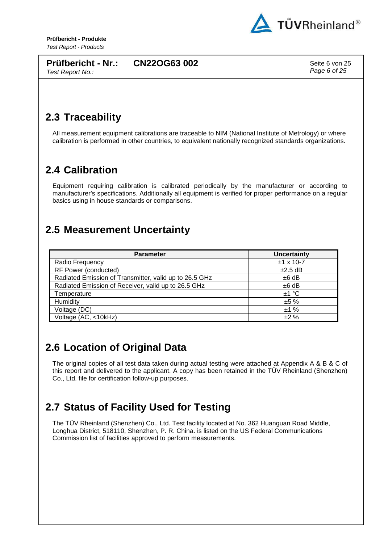

**Prüfbericht - Nr.:** Test Report No.:

**CN22OG63 002** Seite 6 von 25

Page 6 of 25

## **2.3 Traceability**

All measurement equipment calibrations are traceable to NIM (National Institute of Metrology) or where calibration is performed in other countries, to equivalent nationally recognized standards organizations.

## **2.4 Calibration**

Equipment requiring calibration is calibrated periodically by the manufacturer or according to manufacturer's specifications. Additionally all equipment is verified for proper performance on a regular basics using in house standards or comparisons.

#### **2.5 Measurement Uncertainty**

| <b>Parameter</b>                                       | <b>Uncertainty</b> |
|--------------------------------------------------------|--------------------|
| Radio Frequency                                        | $±1$ x 10-7        |
| RF Power (conducted)                                   | $\pm 2.5$ dB       |
| Radiated Emission of Transmitter, valid up to 26.5 GHz | $±6$ dB            |
| Radiated Emission of Receiver, valid up to 26.5 GHz    | $±6$ dB            |
| Temperature                                            | ±1 °C              |
| Humidity                                               | ±5%                |
| Voltage (DC)                                           | ±1%                |
| Voltage (AC, <10kHz)                                   | ±2%                |

## **2.6 Location of Original Data**

The original copies of all test data taken during actual testing were attached at Appendix A & B & C of this report and delivered to the applicant. A copy has been retained in the TÜV Rheinland (Shenzhen) Co., Ltd. file for certification follow-up purposes.

## **2.7 Status of Facility Used for Testing**

The TÜV Rheinland (Shenzhen) Co., Ltd. Test facility located at No. 362 Huanguan Road Middle, Longhua District, 518110, Shenzhen, P. R. China. is listed on the US Federal Communications Commission list of facilities approved to perform measurements.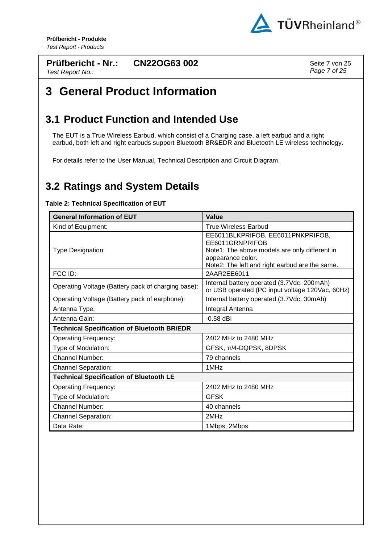

#### **Prüfbericht - Nr.:** Test Report No.: **CN22OG63 002** Seite 7 von 25

Page 7 of 25

# **3 General Product Information**

#### **3.1 Product Function and Intended Use**

The EUT is a True Wireless Earbud, which consist of a Charging case, a left earbud and a right earbud, both left and right earbuds support Bluetooth BR&EDR and Bluetooth LE wireless technology.

For details refer to the User Manual, Technical Description and Circuit Diagram.

#### **3.2 Ratings and System Details**

#### **Table 2: Technical Specification of EUT**

| <b>General Information of EUT</b>                  | Value                                                                                                                                                                        |
|----------------------------------------------------|------------------------------------------------------------------------------------------------------------------------------------------------------------------------------|
| Kind of Equipment:                                 | <b>True Wireless Earbud</b>                                                                                                                                                  |
| Type Designation:                                  | EE6011BLKPRIFOB, EE6011PNKPRIFOB,<br>EE6011GRNPRIFOB<br>Note1: The above models are only different in<br>appearance color.<br>Note2: The left and right earbud are the same. |
| FCC ID:                                            | 2AAR2EE6011                                                                                                                                                                  |
| Operating Voltage (Battery pack of charging base): | Internal battery operated (3.7Vdc, 200mAh)<br>or USB operated (PC input voltage 120Vac, 60Hz)                                                                                |
| Operating Voltage (Battery pack of earphone):      | Internal battery operated (3.7Vdc, 30mAh)                                                                                                                                    |
| Antenna Type:                                      | Integral Antenna                                                                                                                                                             |
| Antenna Gain:                                      | $-0.58$ dBi                                                                                                                                                                  |
| <b>Technical Specification of Bluetooth BR/EDR</b> |                                                                                                                                                                              |
| <b>Operating Frequency:</b>                        | 2402 MHz to 2480 MHz                                                                                                                                                         |
| Type of Modulation:                                | GFSK, π/4-DQPSK, 8DPSK                                                                                                                                                       |
| <b>Channel Number:</b>                             | 79 channels                                                                                                                                                                  |
| <b>Channel Separation:</b>                         | 1MH <sub>z</sub>                                                                                                                                                             |
| <b>Technical Specification of Bluetooth LE</b>     |                                                                                                                                                                              |
| <b>Operating Frequency:</b>                        | 2402 MHz to 2480 MHz                                                                                                                                                         |
| Type of Modulation:                                | <b>GFSK</b>                                                                                                                                                                  |
| <b>Channel Number:</b>                             | 40 channels                                                                                                                                                                  |
| <b>Channel Separation:</b>                         | 2MHz                                                                                                                                                                         |
| Data Rate:                                         | 1Mbps, 2Mbps                                                                                                                                                                 |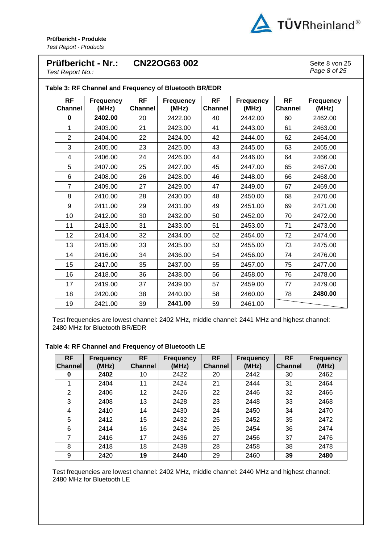

#### **Prüfbericht - Nr.: CN22OG63 002** Seite 8 von 25

Page 8 of 25

Test Report No.:

| <b>RF</b><br><b>Channel</b> | <b>Frequency</b><br>(MHz) | <b>RF</b><br><b>Channel</b> | <b>Frequency</b><br>(MHz) | <b>RF</b><br><b>Channel</b> | <b>Frequency</b><br>(MHz) | <b>RF</b><br><b>Channel</b> | <b>Frequency</b><br>(MHz) |
|-----------------------------|---------------------------|-----------------------------|---------------------------|-----------------------------|---------------------------|-----------------------------|---------------------------|
| 0                           | 2402.00                   | 20                          | 2422.00                   | 40                          | 2442.00                   | 60                          | 2462.00                   |
| 1                           | 2403.00                   | 21                          | 2423.00                   | 41                          | 2443.00                   | 61                          | 2463.00                   |
| $\overline{2}$              | 2404.00                   | 22                          | 2424.00                   | 42                          | 2444.00                   | 62                          | 2464.00                   |
| 3                           | 2405.00                   | 23                          | 2425.00                   | 43                          | 2445.00                   | 63                          | 2465.00                   |
| 4                           | 2406.00                   | 24                          | 2426.00                   | 44                          | 2446.00                   | 64                          | 2466.00                   |
| 5                           | 2407.00                   | 25                          | 2427.00                   | 45                          | 2447.00                   | 65                          | 2467.00                   |
| 6                           | 2408.00                   | 26                          | 2428.00                   | 46                          | 2448.00                   | 66                          | 2468.00                   |
| $\overline{7}$              | 2409.00                   | 27                          | 2429.00                   | 47                          | 2449.00                   | 67                          | 2469.00                   |
| 8                           | 2410.00                   | 28                          | 2430.00                   | 48                          | 2450.00                   | 68                          | 2470.00                   |
| 9                           | 2411.00                   | 29                          | 2431.00                   | 49                          | 2451.00                   | 69                          | 2471.00                   |
| 10                          | 2412.00                   | 30                          | 2432.00                   | 50                          | 2452.00                   | 70                          | 2472.00                   |
| 11                          | 2413.00                   | 31                          | 2433.00                   | 51                          | 2453.00                   | 71                          | 2473.00                   |
| 12                          | 2414.00                   | 32                          | 2434.00                   | 52                          | 2454.00                   | 72                          | 2474.00                   |
| 13                          | 2415.00                   | 33                          | 2435.00                   | 53                          | 2455.00                   | 73                          | 2475.00                   |
| 14                          | 2416.00                   | 34                          | 2436.00                   | 54                          | 2456.00                   | 74                          | 2476.00                   |
| 15                          | 2417.00                   | 35                          | 2437.00                   | 55                          | 2457.00                   | 75                          | 2477.00                   |
| 16                          | 2418.00                   | 36                          | 2438.00                   | 56                          | 2458.00                   | 76                          | 2478.00                   |
| 17                          | 2419.00                   | 37                          | 2439.00                   | 57                          | 2459.00                   | 77                          | 2479.00                   |
| 18                          | 2420.00                   | 38                          | 2440.00                   | 58                          | 2460.00                   | 78                          | 2480.00                   |
| 19                          | 2421.00                   | 39                          | 2441.00                   | 59                          | 2461.00                   |                             |                           |

Test frequencies are lowest channel: 2402 MHz, middle channel: 2441 MHz and highest channel: 2480 MHz for Bluetooth BR/EDR

**Table 4: RF Channel and Frequency of Bluetooth LE** 

| <b>RF</b><br><b>Channel</b> | Frequency<br>(MHz) | <b>RF</b><br><b>Channel</b> | <b>Frequency</b><br>(MHz) | <b>RF</b><br><b>Channel</b> | <b>Frequency</b><br>(MHz) | <b>RF</b><br><b>Channel</b> | <b>Frequency</b><br>(MHz) |
|-----------------------------|--------------------|-----------------------------|---------------------------|-----------------------------|---------------------------|-----------------------------|---------------------------|
| 0                           | 2402               | 10                          | 2422                      | 20                          | 2442                      | 30                          | 2462                      |
| 1                           | 2404               | 11                          | 2424                      | 21                          | 2444                      | 31                          | 2464                      |
| 2                           | 2406               | 12 <sub>2</sub>             | 2426                      | 22                          | 2446                      | 32                          | 2466                      |
| 3                           | 2408               | 13                          | 2428                      | 23                          | 2448                      | 33                          | 2468                      |
| 4                           | 2410               | 14                          | 2430                      | 24                          | 2450                      | 34                          | 2470                      |
| 5                           | 2412               | 15                          | 2432                      | 25                          | 2452                      | 35                          | 2472                      |
| 6                           | 2414               | 16                          | 2434                      | 26                          | 2454                      | 36                          | 2474                      |
| 7                           | 2416               | 17                          | 2436                      | 27                          | 2456                      | 37                          | 2476                      |
| 8                           | 2418               | 18                          | 2438                      | 28                          | 2458                      | 38                          | 2478                      |
| 9                           | 2420               | 19                          | 2440                      | 29                          | 2460                      | 39                          | 2480                      |

Test frequencies are lowest channel: 2402 MHz, middle channel: 2440 MHz and highest channel: 2480 MHz for Bluetooth LE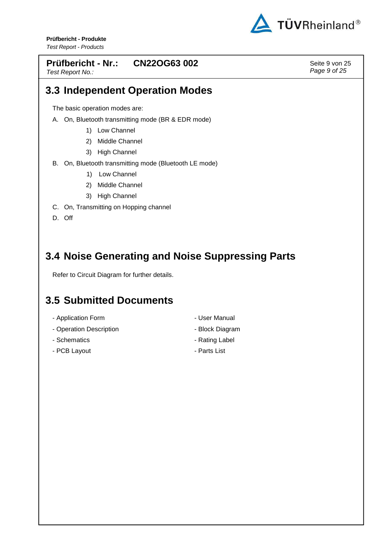

#### **Prüfbericht - Nr.: CN22OG63 002** Seite 9 von 25

Test Report No.:

Page 9 of 25

#### **3.3 Independent Operation Modes**

The basic operation modes are:

- A. On, Bluetooth transmitting mode (BR & EDR mode)
	- 1) Low Channel
	- 2) Middle Channel
	- 3) High Channel
- B. On, Bluetooth transmitting mode (Bluetooth LE mode)
	- 1) Low Channel
	- 2) Middle Channel
	- 3) High Channel
- C. On, Transmitting on Hopping channel

D. Off

## **3.4 Noise Generating and Noise Suppressing Parts**

Refer to Circuit Diagram for further details.

## **3.5 Submitted Documents**

- Application Form **COVID-10** User Manual
- Operation Description  **Block Diagram**
- 
- PCB Lavout  **Parts List**
- 
- 
- Schematics  **Rating Label** 
	-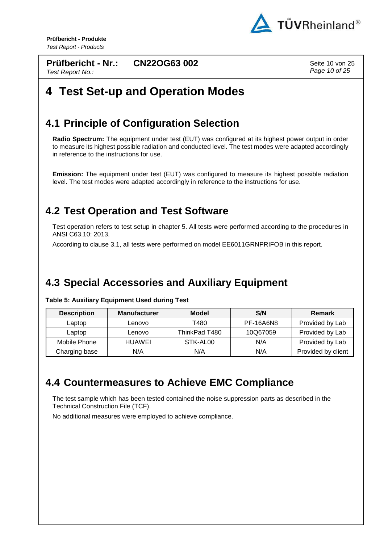

**Prüfbericht - Nr.:** Test Report No.:

**CN22OG63 002** Seite 10 von 25

Page 10 of 25

# **4 Test Set-up and Operation Modes**

## **4.1 Principle of Configuration Selection**

**Radio Spectrum:** The equipment under test (EUT) was configured at its highest power output in order to measure its highest possible radiation and conducted level. The test modes were adapted accordingly in reference to the instructions for use.

**Emission:** The equipment under test (EUT) was configured to measure its highest possible radiation level. The test modes were adapted accordingly in reference to the instructions for use.

#### **4.2 Test Operation and Test Software**

Test operation refers to test setup in chapter 5. All tests were performed according to the procedures in ANSI C63.10: 2013.

According to clause 3.1, all tests were performed on model EE6011GRNPRIFOB in this report.

## **4.3 Special Accessories and Auxiliary Equipment**

**Table 5: Auxiliary Equipment Used during Test** 

| <b>Description</b> | <b>Manufacturer</b> | Model         | S/N              | <b>Remark</b>      |
|--------------------|---------------------|---------------|------------------|--------------------|
| Laptop             | Lenovo              | T480          | <b>PF-16A6N8</b> | Provided by Lab    |
| Laptop             | Lenovo              | ThinkPad T480 | 10Q67059         | Provided by Lab    |
| Mobile Phone       | HUAWEI              | STK-AL00      | N/A              | Provided by Lab    |
| Charging base      | N/A                 | N/A           | N/A              | Provided by client |

#### **4.4 Countermeasures to Achieve EMC Compliance**

The test sample which has been tested contained the noise suppression parts as described in the Technical Construction File (TCF).

No additional measures were employed to achieve compliance.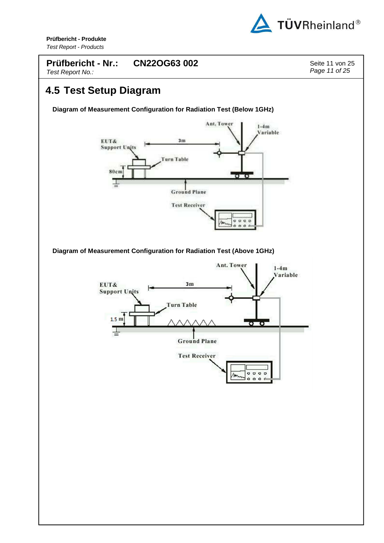

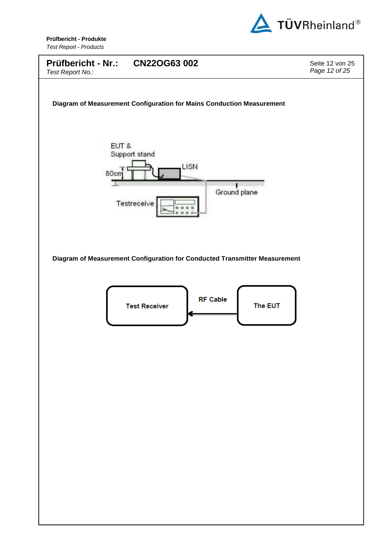

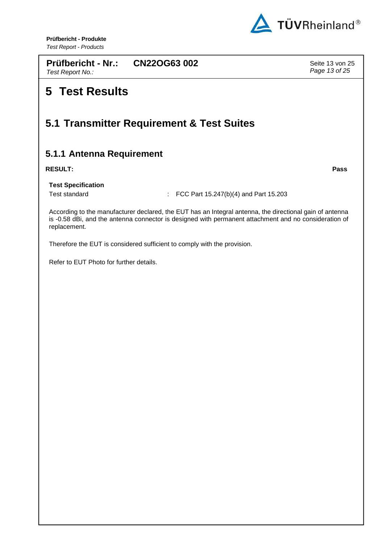

**Prüfbericht - Nr.:** Test Report No.:

**CN22OG63 002** Seite 13 von 25 Page 13 of 25

# **5 Test Results**

## **5.1 Transmitter Requirement & Test Suites**

#### **5.1.1 Antenna Requirement**

#### **RESULT: Pass**

**Test Specification**

Test standard : FCC Part 15.247(b)(4) and Part 15.203

According to the manufacturer declared, the EUT has an Integral antenna, the directional gain of antenna is -0.58 dBi, and the antenna connector is designed with permanent attachment and no consideration of replacement.

Therefore the EUT is considered sufficient to comply with the provision.

Refer to EUT Photo for further details.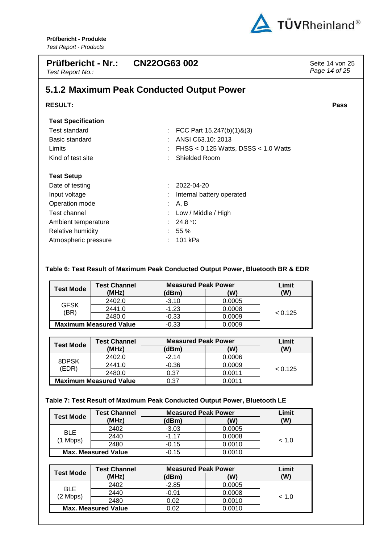

| Prüfbericht - Nr.: CN22OG63 002<br>Test Report No.: |                                           | Seite 14 von 25<br>Page 14 of 25 |
|-----------------------------------------------------|-------------------------------------------|----------------------------------|
|                                                     | 5.1.2 Maximum Peak Conducted Output Power |                                  |
| <b>RESULT:</b>                                      |                                           | <b>Pass</b>                      |
| <b>Test Specification</b>                           |                                           |                                  |
| Test standard                                       | FCC Part 15.247(b)(1)&(3)                 |                                  |
| Basic standard                                      | ANSI C63.10: 2013<br>٠.                   |                                  |
| Limits                                              | FHSS < $0.125$ Watts, DSSS < $1.0$ Watts  |                                  |
| Kind of test site                                   | Shielded Room                             |                                  |
| <b>Test Setup</b>                                   |                                           |                                  |
| Date of testing                                     | 2022-04-20                                |                                  |
| Input voltage                                       | Internal battery operated                 |                                  |
| Operation mode                                      | A, B                                      |                                  |
| Test channel                                        | Low / Middle / High                       |                                  |
| Ambient temperature                                 | 24.8 $\degree$ C                          |                                  |
| Relative humidity                                   | 55 %                                      |                                  |
| Atmospheric pressure                                | 101 kPa                                   |                                  |

#### **Table 6: Test Result of Maximum Peak Conducted Output Power, Bluetooth BR & EDR**

|                  | <b>Test Channel</b>           | <b>Measured Peak Power</b> |        | Limit   |
|------------------|-------------------------------|----------------------------|--------|---------|
| <b>Test Mode</b> | (MHz)                         | (dBm)                      | (W)    | (W)     |
|                  | 2402.0                        | $-3.10$                    | 0.0005 |         |
| <b>GFSK</b>      | 2441.0                        | $-1.23$                    | 0.0008 |         |
| (BR)             | 2480.0                        | $-0.33$                    | 0.0009 | < 0.125 |
|                  | <b>Maximum Measured Value</b> | $-0.33$                    | 0.0009 |         |

| Test Mode      | <b>Test Channel</b>           | <b>Measured Peak Power</b> |        | Limit   |
|----------------|-------------------------------|----------------------------|--------|---------|
|                | (MHz)                         | (dBm)                      | 'W)    | (W)     |
|                | 2402.0                        | $-2.14$                    | 0.0006 |         |
| 8DPSK<br>(EDR) | 2441.0                        | $-0.36$                    | 0.0009 | < 0.125 |
|                | 2480.0                        | 0.37                       | 0.0011 |         |
|                | <b>Maximum Measured Value</b> | 0.37                       | 0 0011 |         |

#### **Table 7: Test Result of Maximum Peak Conducted Output Power, Bluetooth LE**

|                            | <b>Test Channel</b> | <b>Measured Peak Power</b> |        | Limit  |
|----------------------------|---------------------|----------------------------|--------|--------|
| <b>Test Mode</b>           | (MHz)               | (dBm)                      | W)     | (W)    |
| <b>BLE</b><br>(1 Mbps)     | 2402                | $-3.03$                    | 0.0005 |        |
|                            | 2440                | $-1.17$                    | 0.0008 |        |
|                            | 2480                | $-0.15$                    | 0.0010 | ~< 1.0 |
| <b>Max. Measured Value</b> |                     | $-0.15$                    | 0.0010 |        |

|                            | <b>Test Channel</b> |         | <b>Measured Peak Power</b> |        |
|----------------------------|---------------------|---------|----------------------------|--------|
| Test Mode                  | (MHz)               | (dBm)   | (W)                        | (W)    |
| BLE.<br>$(2$ Mbps)         | 2402                | $-2.85$ | 0.0005                     | ~< 1.0 |
|                            | 2440                | $-0.91$ | 0.0008                     |        |
|                            | 2480                | 0.02    | 0.0010                     |        |
| <b>Max. Measured Value</b> |                     | ) 02    | 0.0010                     |        |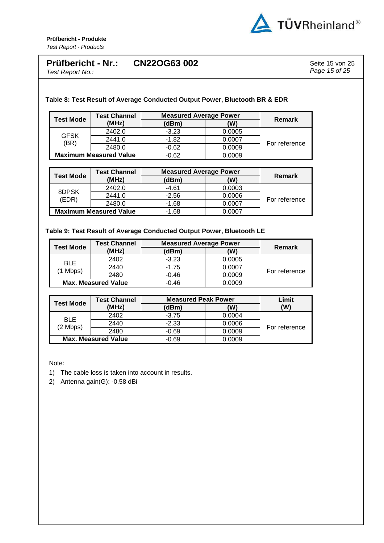

#### **Prüfbericht - Nr.: CN22OG63 002** Seite 15 von 25

Test Report No.:

Page 15 of 25

**Table 8: Test Result of Average Conducted Output Power, Bluetooth BR & EDR** 

| <b>Test Mode</b>              | <b>Test Channel</b> | <b>Measured Average Power</b> |        | <b>Remark</b> |
|-------------------------------|---------------------|-------------------------------|--------|---------------|
|                               | (MHz)               | (dBm)                         | (W)    |               |
| <b>GFSK</b><br>(BR)           | 2402.0              | $-3.23$                       | 0.0005 | For reference |
|                               | 2441.0              | $-1.82$                       | 0.0007 |               |
|                               | 2480.0              | $-0.62$                       | 0.0009 |               |
| <b>Maximum Measured Value</b> |                     | $-0.62$                       | 0.0009 |               |

| <b>Test Mode</b>              | <b>Test Channel</b> | <b>Measured Average Power</b> |        |               |
|-------------------------------|---------------------|-------------------------------|--------|---------------|
|                               | (MHz)               | (dBm)                         | (W)    | Remark        |
| 8DPSK<br>(EDR)                | 2402.0              | $-4.61$                       | 0.0003 | For reference |
|                               | 2441.0              | $-2.56$                       | 0.0006 |               |
|                               | 2480.0              | $-1.68$                       | 0.0007 |               |
| <b>Maximum Measured Value</b> |                     | $-1.68$                       | 0.0007 |               |

#### **Table 9: Test Result of Average Conducted Output Power, Bluetooth LE**

| <b>Test Mode</b>           | <b>Test Channel</b> | <b>Measured Average Power</b> |        | Remark        |
|----------------------------|---------------------|-------------------------------|--------|---------------|
|                            | (MHz)               | (dBm)                         | 'W)    |               |
| BLE.<br>1 Mbps)            | 2402                | $-3.23$                       | 0.0005 | For reference |
|                            | 2440                | $-1.75$                       | 0.0007 |               |
|                            | 2480                | $-0.46$                       | 0.0009 |               |
| <b>Max. Measured Value</b> |                     | $-0.46$                       | 0.0009 |               |

|                            | <b>Test Channel</b> | <b>Measured Peak Power</b> |        | Limit         |
|----------------------------|---------------------|----------------------------|--------|---------------|
| Test Mode                  | (MHz)               | (dBm)                      | (W)    | (W)           |
| <b>BLE</b><br>(2 Mbps)     | 2402                | $-3.75$                    | 0.0004 | For reference |
|                            | 2440                | $-2.33$                    | 0.0006 |               |
|                            | 2480                | $-0.69$                    | 0.0009 |               |
| <b>Max. Measured Value</b> |                     | $-0.69$                    | 0.0009 |               |

Note:

1) The cable loss is taken into account in results.

2) Antenna gain(G): -0.58 dBi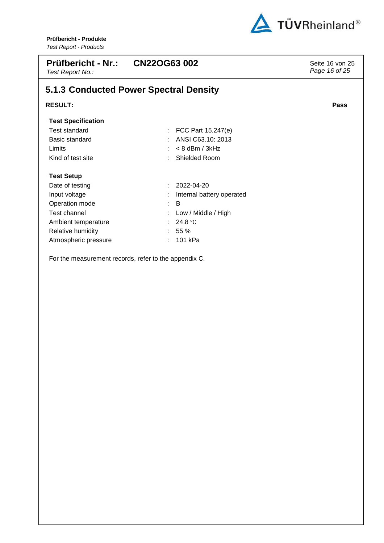

| <b>Prüfbericht - Nr.:</b><br>Test Report No.: | <b>CN22OG63 002</b>                    | Seite 16 von 25<br>Page 16 of 25 |
|-----------------------------------------------|----------------------------------------|----------------------------------|
|                                               | 5.1.3 Conducted Power Spectral Density |                                  |
| <b>RESULT:</b>                                |                                        | Pass                             |
| <b>Test Specification</b>                     |                                        |                                  |
| Test standard                                 | FCC Part 15.247(e)<br>÷.               |                                  |
| Basic standard                                | ANSI C63.10: 2013                      |                                  |
| Limits                                        | $< 8$ dBm / 3kHz                       |                                  |
| Kind of test site                             | Shielded Room                          |                                  |
| <b>Test Setup</b>                             |                                        |                                  |
| Date of testing                               | 2022-04-20<br>÷                        |                                  |
| Input voltage                                 | Internal battery operated              |                                  |
| Operation mode                                | B<br>÷.                                |                                  |
| Test channel                                  | Low / Middle / High                    |                                  |
| Ambient temperature                           | 24.8 °C                                |                                  |
| Relative humidity                             | 55 %                                   |                                  |
| Atmospheric pressure                          | 101 kPa                                |                                  |
|                                               |                                        |                                  |

For the measurement records, refer to the appendix C.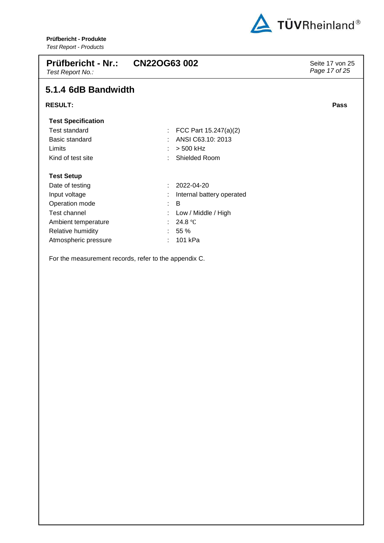

| <b>Prüfbericht - Nr.:</b><br>Test Report No.: | <b>CN22OG63 002</b>       | Seite 17 von 25<br>Page 17 of 25 |
|-----------------------------------------------|---------------------------|----------------------------------|
| 5.1.4 6dB Bandwidth                           |                           |                                  |
| <b>RESULT:</b>                                |                           | Pass                             |
| <b>Test Specification</b>                     |                           |                                  |
| <b>Test standard</b>                          | FCC Part 15.247(a)(2)     |                                  |
| Basic standard                                | ANSI C63.10: 2013         |                                  |
| Limits                                        | > 500 kHz                 |                                  |
| Kind of test site                             | Shielded Room             |                                  |
| <b>Test Setup</b>                             |                           |                                  |
| Date of testing                               | 2022-04-20                |                                  |
| Input voltage                                 | Internal battery operated |                                  |
| Operation mode                                | B<br>÷                    |                                  |
| Test channel                                  | Low / Middle / High       |                                  |
| Ambient temperature                           | 24.8 $\degree$ C          |                                  |
| Relative humidity                             | 55 %                      |                                  |
| Atmospheric pressure                          | 101 kPa                   |                                  |

For the measurement records, refer to the appendix C.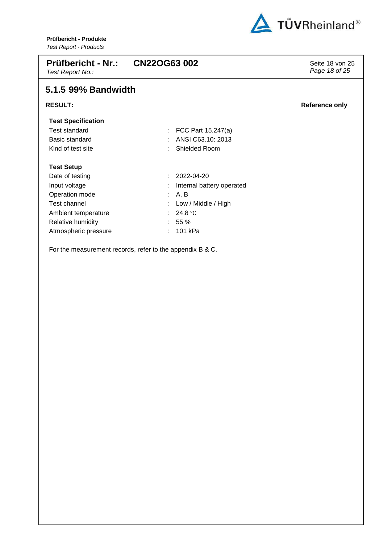

| <b>Prüfbericht - Nr.:</b><br>Test Report No.: | <b>CN22OG63 002</b>       | Seite 18 von 25<br>Page 18 of 25 |
|-----------------------------------------------|---------------------------|----------------------------------|
| 5.1.5 99% Bandwidth                           |                           |                                  |
| <b>RESULT:</b>                                |                           | <b>Reference only</b>            |
| <b>Test Specification</b>                     |                           |                                  |
| <b>Test standard</b>                          | FCC Part 15.247(a)        |                                  |
| Basic standard                                | ANSI C63.10: 2013         |                                  |
| Kind of test site                             | Shielded Room             |                                  |
| <b>Test Setup</b>                             |                           |                                  |
| Date of testing                               | 2022-04-20                |                                  |
| Input voltage                                 | Internal battery operated |                                  |
| Operation mode                                | A, B                      |                                  |
| Test channel                                  | Low / Middle / High       |                                  |
| Ambient temperature                           | 24.8 $\degree$ C          |                                  |
| Relative humidity                             | 55 %                      |                                  |
| Atmospheric pressure                          | 101 kPa                   |                                  |
|                                               |                           |                                  |

For the measurement records, refer to the appendix B & C.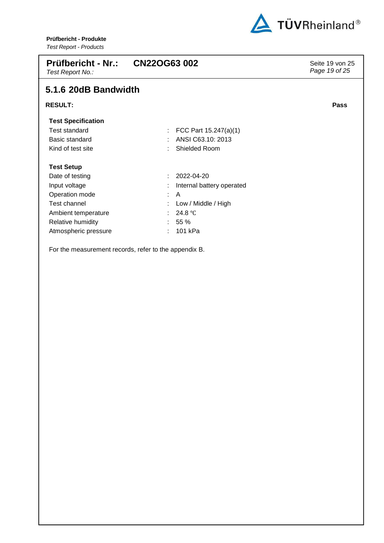

| <b>Prüfbericht - Nr.:</b><br>Test Report No.: | CN22OG63 002              | Seite 19 von 25<br>Page 19 of 25 |
|-----------------------------------------------|---------------------------|----------------------------------|
| 5.1.6 20dB Bandwidth                          |                           |                                  |
| <b>RESULT:</b>                                |                           | <b>Pass</b>                      |
| <b>Test Specification</b>                     |                           |                                  |
| <b>Test standard</b>                          | FCC Part 15.247(a)(1)     |                                  |
| Basic standard                                | ANSI C63.10: 2013         |                                  |
| Kind of test site                             | Shielded Room             |                                  |
| <b>Test Setup</b>                             |                           |                                  |
| Date of testing                               | 2022-04-20<br>t.          |                                  |
| Input voltage                                 | Internal battery operated |                                  |
| Operation mode                                | A<br>÷.                   |                                  |
| Test channel                                  | Low / Middle / High       |                                  |
| Ambient temperature                           | 24.8 $\degree$ C          |                                  |
| Relative humidity                             | 55 %                      |                                  |
| Atmospheric pressure                          | 101 kPa                   |                                  |

For the measurement records, refer to the appendix B.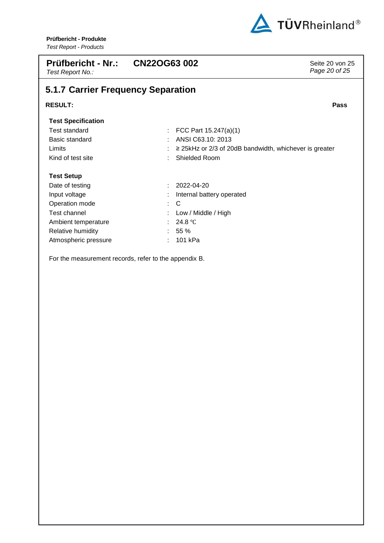

| <b>Prüfbericht - Nr.:</b><br>Test Report No.: | CN22OG63 002                                                | Seite 20 von 25<br>Page 20 of 25 |
|-----------------------------------------------|-------------------------------------------------------------|----------------------------------|
| 5.1.7 Carrier Frequency Separation            |                                                             |                                  |
| <b>RESULT:</b>                                |                                                             | <b>Pass</b>                      |
| <b>Test Specification</b>                     |                                                             |                                  |
| <b>Test standard</b>                          | FCC Part 15.247(a)(1)                                       |                                  |
| Basic standard                                | ANSI C63.10: 2013                                           |                                  |
| Limits                                        | $\geq$ 25kHz or 2/3 of 20dB bandwidth, whichever is greater |                                  |
| Kind of test site                             | Shielded Room                                               |                                  |
| <b>Test Setup</b>                             |                                                             |                                  |
| Date of testing                               | 2022-04-20                                                  |                                  |
| Input voltage                                 | Internal battery operated                                   |                                  |
| Operation mode                                | C<br>÷.                                                     |                                  |
| Test channel                                  | Low / Middle / High                                         |                                  |
| Ambient temperature                           | 24.8 $\degree$ C                                            |                                  |
| Relative humidity                             | 55 %                                                        |                                  |
| Atmospheric pressure                          | 101 kPa                                                     |                                  |

For the measurement records, refer to the appendix B.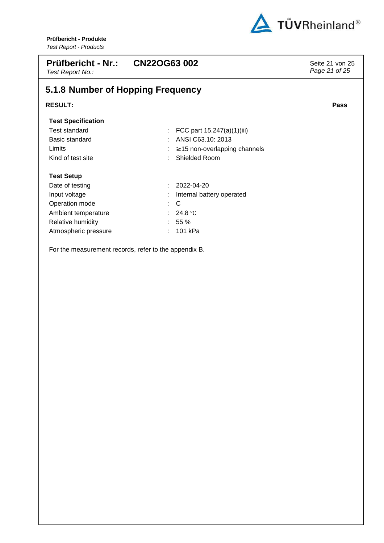

| <b>Prüfbericht - Nr.:</b><br>Test Report No.:         | <b>CN22OG63002</b>                 | Seite 21 von 25<br>Page 21 of 25 |  |  |  |  |
|-------------------------------------------------------|------------------------------------|----------------------------------|--|--|--|--|
| 5.1.8 Number of Hopping Frequency                     |                                    |                                  |  |  |  |  |
| <b>RESULT:</b>                                        |                                    | <b>Pass</b>                      |  |  |  |  |
| <b>Test Specification</b>                             |                                    |                                  |  |  |  |  |
| Test standard                                         | FCC part 15.247(a)(1)(iii)         |                                  |  |  |  |  |
| Basic standard                                        | ANSI C63.10: 2013                  |                                  |  |  |  |  |
| Limits                                                | $\geq$ 15 non-overlapping channels |                                  |  |  |  |  |
| Kind of test site                                     | Shielded Room                      |                                  |  |  |  |  |
| <b>Test Setup</b>                                     |                                    |                                  |  |  |  |  |
| Date of testing                                       | 2022-04-20<br>$\bullet$            |                                  |  |  |  |  |
| Input voltage                                         | Internal battery operated          |                                  |  |  |  |  |
| Operation mode                                        | C                                  |                                  |  |  |  |  |
| Ambient temperature                                   | 24.8 $\degree$ C                   |                                  |  |  |  |  |
| Relative humidity                                     | 55 %                               |                                  |  |  |  |  |
| Atmospheric pressure                                  | 101 kPa                            |                                  |  |  |  |  |
| For the measurement records, refer to the appendix B. |                                    |                                  |  |  |  |  |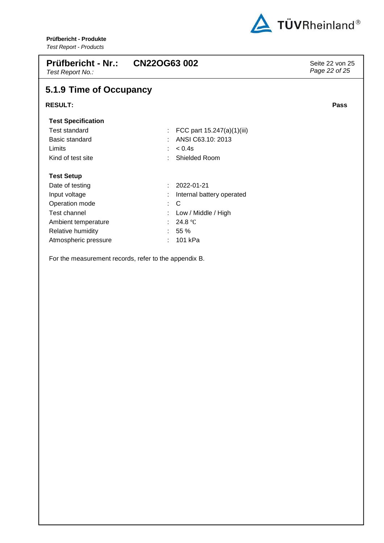

| Prüfbericht - Nr.:<br>Test Report No.: | <b>CN22OG63 002</b>        | Seite 22 von 25<br>Page 22 of 25 |  |  |  |  |  |  |
|----------------------------------------|----------------------------|----------------------------------|--|--|--|--|--|--|
| 5.1.9 Time of Occupancy                |                            |                                  |  |  |  |  |  |  |
| <b>RESULT:</b>                         |                            | Pass                             |  |  |  |  |  |  |
| <b>Test Specification</b>              |                            |                                  |  |  |  |  |  |  |
| <b>Test standard</b>                   | FCC part 15.247(a)(1)(iii) |                                  |  |  |  |  |  |  |
| Basic standard                         | ANSI C63.10: 2013          |                                  |  |  |  |  |  |  |
| Limits                                 | $< 0.4$ s                  |                                  |  |  |  |  |  |  |
| Kind of test site                      | Shielded Room              |                                  |  |  |  |  |  |  |
| <b>Test Setup</b>                      |                            |                                  |  |  |  |  |  |  |
| Date of testing                        | 2022-01-21<br>÷            |                                  |  |  |  |  |  |  |
| Input voltage                          | Internal battery operated  |                                  |  |  |  |  |  |  |
| Operation mode                         | C<br>t.                    |                                  |  |  |  |  |  |  |
| Test channel                           | Low / Middle / High        |                                  |  |  |  |  |  |  |
| Ambient temperature                    | 24.8 $\degree$ C           |                                  |  |  |  |  |  |  |
| Relative humidity                      | 55 %                       |                                  |  |  |  |  |  |  |
| Atmospheric pressure                   | 101 kPa                    |                                  |  |  |  |  |  |  |
|                                        |                            |                                  |  |  |  |  |  |  |

For the measurement records, refer to the appendix B.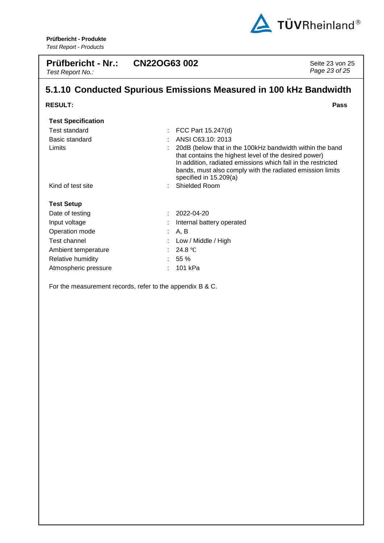

| <b>Prüfbericht - Nr.:</b><br>Test Report No.:                     | <b>CN22OG63 002</b>                                                                                                                                                                                                                                                      | Seite 23 von 25<br>Page 23 of 25 |  |  |  |  |  |
|-------------------------------------------------------------------|--------------------------------------------------------------------------------------------------------------------------------------------------------------------------------------------------------------------------------------------------------------------------|----------------------------------|--|--|--|--|--|
| 5.1.10 Conducted Spurious Emissions Measured in 100 kHz Bandwidth |                                                                                                                                                                                                                                                                          |                                  |  |  |  |  |  |
| <b>RESULT:</b>                                                    |                                                                                                                                                                                                                                                                          | Pass                             |  |  |  |  |  |
| <b>Test Specification</b>                                         |                                                                                                                                                                                                                                                                          |                                  |  |  |  |  |  |
| <b>Test standard</b>                                              | FCC Part 15.247(d)                                                                                                                                                                                                                                                       |                                  |  |  |  |  |  |
| Basic standard                                                    | ANSI C63.10: 2013                                                                                                                                                                                                                                                        |                                  |  |  |  |  |  |
| Limits                                                            | 20dB (below that in the 100kHz bandwidth within the band<br>that contains the highest level of the desired power)<br>In addition, radiated emissions which fall in the restricted<br>bands, must also comply with the radiated emission limits<br>specified in 15.209(a) |                                  |  |  |  |  |  |
| Kind of test site                                                 | Shielded Room                                                                                                                                                                                                                                                            |                                  |  |  |  |  |  |
| <b>Test Setup</b>                                                 |                                                                                                                                                                                                                                                                          |                                  |  |  |  |  |  |
| Date of testing                                                   | 2022-04-20                                                                                                                                                                                                                                                               |                                  |  |  |  |  |  |
| Input voltage                                                     | Internal battery operated                                                                                                                                                                                                                                                |                                  |  |  |  |  |  |
| Operation mode                                                    | A, B                                                                                                                                                                                                                                                                     |                                  |  |  |  |  |  |
| Test channel                                                      | Low / Middle / High                                                                                                                                                                                                                                                      |                                  |  |  |  |  |  |
| Ambient temperature                                               | 24.8 $\degree$ C                                                                                                                                                                                                                                                         |                                  |  |  |  |  |  |
| Relative humidity                                                 | 55%                                                                                                                                                                                                                                                                      |                                  |  |  |  |  |  |
| Atmospheric pressure                                              | 101 kPa                                                                                                                                                                                                                                                                  |                                  |  |  |  |  |  |

For the measurement records, refer to the appendix B & C.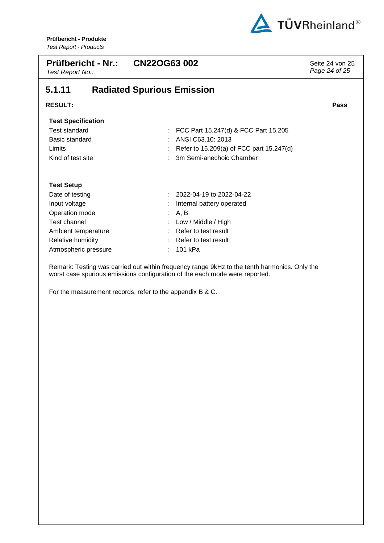

| <b>Prüfbericht - Nr.:</b><br>Test Report No.: |  | <b>CN22OG63 002</b>               |                                          | Seite 24 von 25<br>Page 24 of 25 |
|-----------------------------------------------|--|-----------------------------------|------------------------------------------|----------------------------------|
| 5.1.11                                        |  | <b>Radiated Spurious Emission</b> |                                          |                                  |
| <b>RESULT:</b>                                |  |                                   |                                          | Pass                             |
| <b>Test Specification</b>                     |  |                                   |                                          |                                  |
| <b>Test standard</b>                          |  |                                   | FCC Part 15.247(d) & FCC Part 15.205     |                                  |
| Basic standard                                |  |                                   | ANSI C63.10: 2013                        |                                  |
| Limits                                        |  |                                   | Refer to 15.209(a) of FCC part 15.247(d) |                                  |
| Kind of test site                             |  |                                   | 3m Semi-anechoic Chamber                 |                                  |
| <b>Test Setup</b>                             |  |                                   |                                          |                                  |
| Date of testing                               |  |                                   | 2022-04-19 to 2022-04-22                 |                                  |
| Input voltage                                 |  |                                   | Internal battery operated                |                                  |
| Operation mode                                |  |                                   | A, B                                     |                                  |
| Test channel                                  |  |                                   | Low / Middle / High                      |                                  |
| Ambient temperature                           |  |                                   | Refer to test result                     |                                  |
| Relative humidity                             |  |                                   | Refer to test result                     |                                  |

Atmospheric pressure : 101 kPa

Remark: Testing was carried out within frequency range 9kHz to the tenth harmonics. Only the worst case spurious emissions configuration of the each mode were reported.

For the measurement records, refer to the appendix B & C.